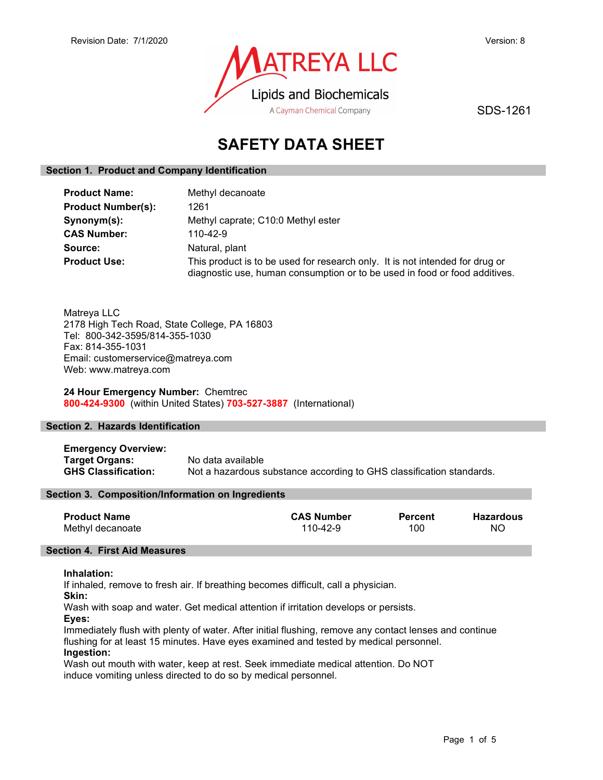

SDS-1261

# SAFETY DATA SHEET

#### Section 1. Product and Company Identification

| <b>Product Name:</b>      | Methyl decanoate                                                                                                                                           |  |
|---------------------------|------------------------------------------------------------------------------------------------------------------------------------------------------------|--|
| <b>Product Number(s):</b> | 1261                                                                                                                                                       |  |
| Synonym(s):               | Methyl caprate; C10:0 Methyl ester                                                                                                                         |  |
| <b>CAS Number:</b>        | $110 - 42 - 9$                                                                                                                                             |  |
| Source:                   | Natural, plant                                                                                                                                             |  |
| <b>Product Use:</b>       | This product is to be used for research only. It is not intended for drug or<br>diagnostic use, human consumption or to be used in food or food additives. |  |

Matreya LLC 2178 High Tech Road, State College, PA 16803 Tel: 800-342-3595/814-355-1030 Fax: 814-355-1031 Email: customerservice@matreya.com Web: www.matreya.com

#### 24 Hour Emergency Number: Chemtrec 800-424-9300 (within United States) 703-527-3887 (International)

#### Section 2. Hazards Identification

Emergency Overview: **Target Organs:** No data available<br> **GHS Classification:** Not a hazardous s Not a hazardous substance according to GHS classification standards.

#### Section 3. Composition/Information on Ingredients

| <b>Product Name</b> | <b>CAS Number</b> | <b>Percent</b> | Hazardous |
|---------------------|-------------------|----------------|-----------|
| Methyl decanoate    | 110-42-9          | 100            | ΝO        |

#### Section 4. First Aid Measures

#### Inhalation:

If inhaled, remove to fresh air. If breathing becomes difficult, call a physician.

Skin:

Wash with soap and water. Get medical attention if irritation develops or persists.

Eyes:

Immediately flush with plenty of water. After initial flushing, remove any contact lenses and continue flushing for at least 15 minutes. Have eyes examined and tested by medical personnel. Ingestion:

Wash out mouth with water, keep at rest. Seek immediate medical attention. Do NOT induce vomiting unless directed to do so by medical personnel.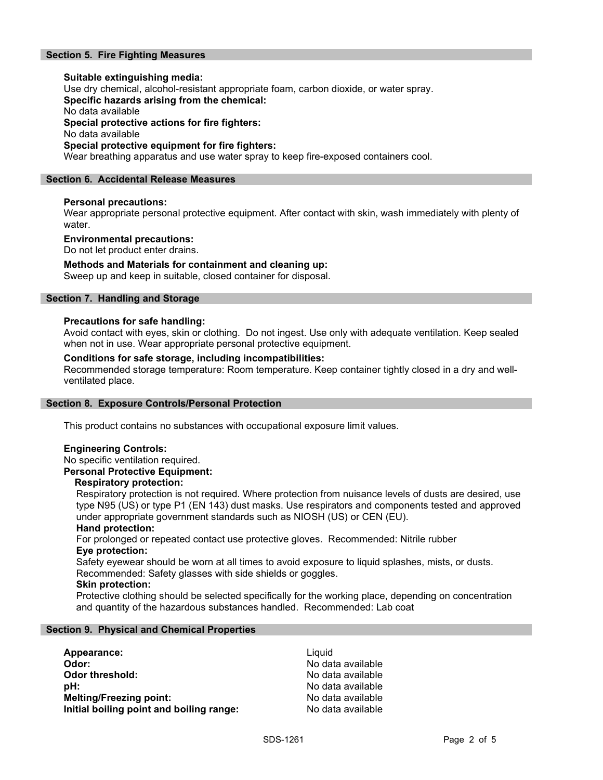#### Section 5. Fire Fighting Measures

Suitable extinguishing media: Use dry chemical, alcohol-resistant appropriate foam, carbon dioxide, or water spray. Specific hazards arising from the chemical: No data available Special protective actions for fire fighters: No data available Special protective equipment for fire fighters: Wear breathing apparatus and use water spray to keep fire-exposed containers cool.

#### Section 6. Accidental Release Measures

#### Personal precautions:

Wear appropriate personal protective equipment. After contact with skin, wash immediately with plenty of water.

#### Environmental precautions:

Do not let product enter drains.

#### Methods and Materials for containment and cleaning up:

Sweep up and keep in suitable, closed container for disposal.

#### Section 7. Handling and Storage

#### Precautions for safe handling:

Avoid contact with eyes, skin or clothing. Do not ingest. Use only with adequate ventilation. Keep sealed when not in use. Wear appropriate personal protective equipment.

#### Conditions for safe storage, including incompatibilities:

Recommended storage temperature: Room temperature. Keep container tightly closed in a dry and wellventilated place.

#### Section 8. Exposure Controls/Personal Protection

This product contains no substances with occupational exposure limit values.

#### Engineering Controls:

No specific ventilation required.

#### Personal Protective Equipment:

#### Respiratory protection:

Respiratory protection is not required. Where protection from nuisance levels of dusts are desired, use type N95 (US) or type P1 (EN 143) dust masks. Use respirators and components tested and approved under appropriate government standards such as NIOSH (US) or CEN (EU).

#### Hand protection:

For prolonged or repeated contact use protective gloves. Recommended: Nitrile rubber Eye protection:

Safety eyewear should be worn at all times to avoid exposure to liquid splashes, mists, or dusts. Recommended: Safety glasses with side shields or goggles.

#### Skin protection:

Protective clothing should be selected specifically for the working place, depending on concentration and quantity of the hazardous substances handled. Recommended: Lab coat

#### Section 9. Physical and Chemical Properties

| Appearance:                              | Liauid            |
|------------------------------------------|-------------------|
| Odor:                                    | No data available |
| Odor threshold:                          | No data available |
| :bH                                      | No data available |
| <b>Melting/Freezing point:</b>           | No data available |
| Initial boiling point and boiling range: | No data available |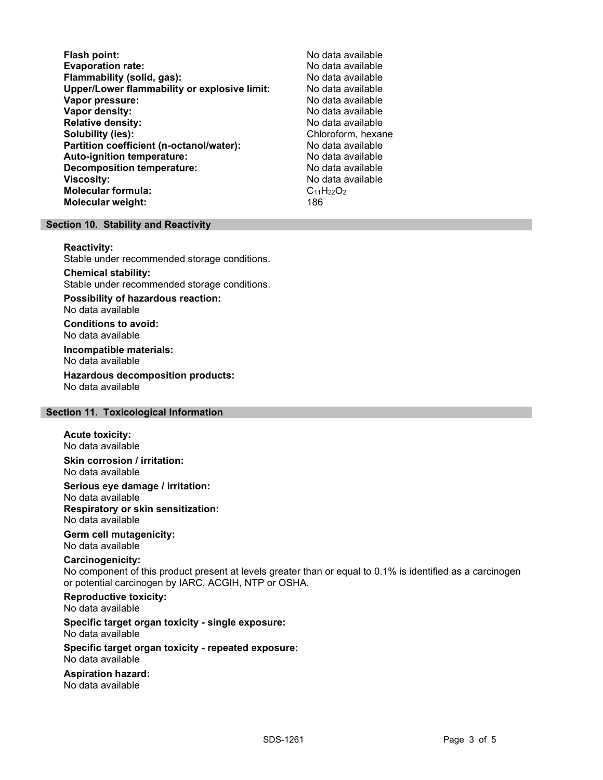Flash point:<br>
Evaporation rate: No data available<br>
No data available Evaporation rate:<br>
Flammability (solid. gas): No data available Flammability (solid, gas): Upper/Lower flammability or explosive limit: No data available Vapor pressure: No data available **Vapor density:** No data available in the set of the set of the No data available Relative density: No data available Solubility (ies): Chloroform, hexane Partition coefficient (n-octanol/water): No data available Auto-ignition temperature: No data available Decomposition temperature: **Viscosity:** No data available and the set of the set of the set of the set of the set of the set of the set of the set of the set of the set of the set of the set of the set of the set of the set of the set of the set of Molecular formula:  $C_{11}H_{22}O_2$ <br>Molecular weight:  $186$ Molecular weight:

### Section 10. Stability and Reactivity

#### Reactivity:

Stable under recommended storage conditions.

Chemical stability: Stable under recommended storage conditions.

Possibility of hazardous reaction: No data available

Conditions to avoid: No data available

Incompatible materials: No data available

Hazardous decomposition products: No data available

#### Section 11. Toxicological Information

#### Acute toxicity:

No data available Skin corrosion / irritation:

No data available

Serious eye damage / irritation:

No data available Respiratory or skin sensitization: No data available

# Germ cell mutagenicity:

No data available

## Carcinogenicity:

No component of this product present at levels greater than or equal to 0.1% is identified as a carcinogen or potential carcinogen by IARC, ACGIH, NTP or OSHA.

Reproductive toxicity: No data available

Specific target organ toxicity - single exposure: No data available

#### Specific target organ toxicity - repeated exposure: No data available

Aspiration hazard: No data available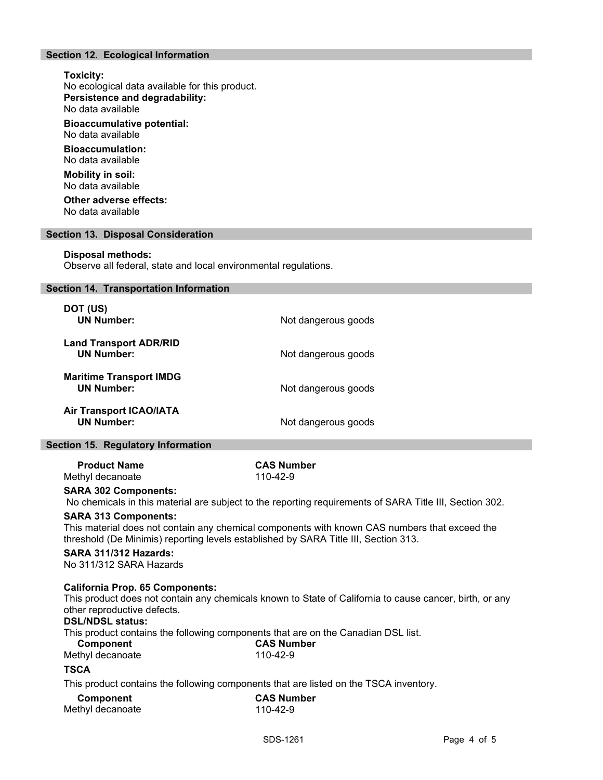#### Section 12. Ecological Information

#### Toxicity:

No ecological data available for this product. Persistence and degradability: No data available

Bioaccumulative potential: No data available

Bioaccumulation: No data available

Mobility in soil: No data available

Other adverse effects: No data available

#### Section 13. Disposal Consideration

#### Disposal methods:

Observe all federal, state and local environmental regulations.

| Section 14. Transportation Information              |                     |
|-----------------------------------------------------|---------------------|
| DOT (US)<br><b>UN Number:</b>                       | Not dangerous goods |
| <b>Land Transport ADR/RID</b><br><b>UN Number:</b>  | Not dangerous goods |
| <b>Maritime Transport IMDG</b><br><b>UN Number:</b> | Not dangerous goods |
| <b>Air Transport ICAO/IATA</b><br><b>UN Number:</b> | Not dangerous goods |
| Continued E. Domitator Lufomation                   |                     |

#### Section 15. Regulatory Information

Product Name<br>
example the CAS Number<br>  $\frac{110-42-9}{110-42-9}$ Methyl decanoate

#### SARA 302 Components:

No chemicals in this material are subject to the reporting requirements of SARA Title III, Section 302.

#### SARA 313 Components:

This material does not contain any chemical components with known CAS numbers that exceed the threshold (De Minimis) reporting levels established by SARA Title III, Section 313.

### SARA 311/312 Hazards:

No 311/312 SARA Hazards

#### California Prop. 65 Components:

This product does not contain any chemicals known to State of California to cause cancer, birth, or any other reproductive defects.

#### DSL/NDSL status:

This product contains the following components that are on the Canadian DSL list.

| Component        | <b>CAS Number</b> |  |
|------------------|-------------------|--|
| Methyl decanoate | 110-42-9          |  |

# **TSCA**

This product contains the following components that are listed on the TSCA inventory.

| Component        | <b>CAS Number</b> |  |
|------------------|-------------------|--|
| Methyl decanoate | 110-42-9          |  |